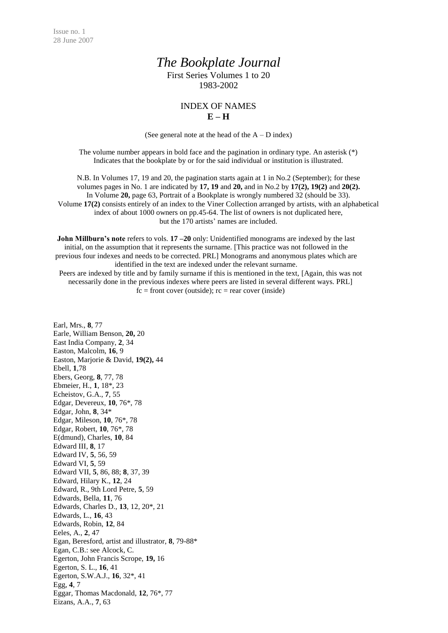## *The Bookplate Journal*

First Series Volumes 1 to 20 1983-2002

## INDEX OF NAMES **E – H**

(See general note at the head of the  $A - D$  index)

The volume number appears in bold face and the pagination in ordinary type. An asterisk (\*) Indicates that the bookplate by or for the said individual or institution is illustrated.

N.B. In Volumes 17, 19 and 20, the pagination starts again at 1 in No.2 (September); for these volumes pages in No. 1 are indicated by **17, 19** and **20,** and in No.2 by **17(2), 19(2)** and **20(2).** In Volume **20,** page 63, Portrait of a Bookplate is wrongly numbered 32 (should be 33). Volume **17(2)** consists entirely of an index to the Viner Collection arranged by artists, with an alphabetical index of about 1000 owners on pp.45-64. The list of owners is not duplicated here, but the 170 artists' names are included.

**John Millburn's note** refers to vols. **17** – 20 only: Unidentified monograms are indexed by the last initial, on the assumption that it represents the surname. [This practice was not followed in the previous four indexes and needs to be corrected. PRL] Monograms and anonymous plates which are identified in the text are indexed under the relevant surname. Peers are indexed by title and by family surname if this is mentioned in the text, [Again, this was not necessarily done in the previous indexes where peers are listed in several different ways. PRL]  $fc = front cover (outside); rc = rear cover (inside)$ 

Earl, Mrs., **8**, 77 Earle, William Benson, **20,** 20 East India Company, **2**, 34 Easton, Malcolm, **16**, 9 Easton, Marjorie & David, **19(2),** 44 Ebell, **1**,78 Ebers, Georg, **8**, 77, 78 Ebmeier, H., **1**, 18\*, 23 Echeistov, G.A., **7**, 55 Edgar, Devereux, **10**, 76\*, 78 Edgar, John, **8**, 34\* Edgar, Mileson, **10**, 76\*, 78 Edgar, Robert, **10**, 76\*, 78 E(dmund), Charles, **10**, 84 Edward III, **8**, 17 Edward IV, **5**, 56, 59 Edward VI, **5**, 59 Edward VII, **5**, 86, 88; **8**, 37, 39 Edward, Hilary K., **12**, 24 Edward, R., 9th Lord Petre, **5**, 59 Edwards, Bella, **11**, 76 Edwards, Charles D., **13**, 12, 20\*, 21 Edwards, L., **16**, 43 Edwards, Robin, **12**, 84 Eeles, A., **2**, 47 Egan, Beresford, artist and illustrator, **8**, 79-88\* Egan, C.B.: see Alcock, C. Egerton, John Francis Scrope, **19,** 16 Egerton, S. L., **16**, 41 Egerton, S.W.A.J., **16**, 32\*, 41 Egg, **4**, 7 Eggar, Thomas Macdonald, **12**, 76\*, 77 Eizans, A.A., **7**, 63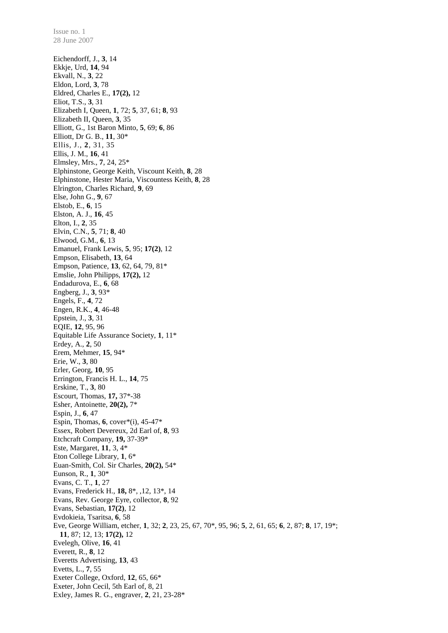Eichendorff, J., **3**, 14 Ekkje, Urd, **14**, 94 Ekvall, N., **3**, 22 Eldon, Lord, **3**, 78 Eldred, Charles E., **17(2),** 12 Eliot, T.S., **3**, 31 Elizabeth I, Queen, **1**, 72; **5**, 37, 61; **8**, 93 Elizabeth II, Queen, **3**, 35 Elliott, G., 1st Baron Minto, **5**, 69; **6**, 86 Elliott, Dr G. B., **11**, 30\* Ellis, J., **2**, 31, 35 Ellis, J. M., **16**, 41 Elmsley, Mrs., **7**, 24, 25\* Elphinstone, George Keith, Viscount Keith, **8**, 28 Elphinstone, Hester Maria, Viscountess Keith, **8**, 28 Elrington, Charles Richard, **9**, 69 Else, John G., **9**, 67 Elstob, E., **6**, 15 Elston, A. J., **16**, 45 Elton, I., **2**, 35 Elvin, C.N., **5**, 71; **8**, 40 Elwood, G.M., **6**, 13 Emanuel, Frank Lewis, **5**, 95; **17(2)**, 12 Empson, Elisabeth, **13**, 64 Empson, Patience, **13**, 62, 64, 79, 81\* Emslie, John Philipps, **17(2),** 12 Endadurova, E., **6**, 68 Engberg, J., **3**, 93\* Engels, F., **4**, 72 Engen, R.K., **4**, 46-48 Epstein, J., **3**, 31 EQIE, **12**, 95, 96 Equitable Life Assurance Society, **1**, 11\* Erdey, A., **2**, 50 Erem, Mehmer, **15**, 94\* Erie, W., **3**, 80 Erler, Georg, **10**, 95 Errington, Francis H. L., **14**, 75 Erskine, T., **3**, 80 Escourt, Thomas, **17,** 37\*-38 Esher, Antoinette, **20(2),** 7\* Espin, J., **6**, 47 Espin, Thomas, **6**, cover\*(i), 45-47\* Essex, Robert Devereux, 2d Earl of, **8**, 93 Etchcraft Company, **19,** 37-39\* Este, Margaret, **11**, 3, 4\* Eton College Library, **1**, 6\* Euan-Smith, Col. Sir Charles, **20(2),** 54\* Eunson, R., **1**, 30\* Evans, C. T., **1**, 27 Evans, Frederick H., **18,** 8\*, ,12, 13\*, 14 Evans, Rev. George Eyre, collector, **8**, 92 Evans, Sebastian, **17(2)**, 12 Evdokieia, Tsaritsa, **6**, 58 Eve, George William, etcher, **1**, 32; **2**, 23, 25, 67, 70\*, 95, 96; **5**, 2, 61, 65; **6**, 2, 87; **8**, 17, 19\*; **11**, 87; 12, 13; **17(2),** 12 Evelegh, Olive, **16**, 41 Everett, R., **8**, 12 Everetts Advertising, **13**, 43 Evetts, L., **7**, 55 Exeter College, Oxford, **12**, 65, 66\* Exeter, John Cecil, 5th Earl of, 8, 21 Exley, James R. G., engraver, **2**, 21, 23-28\*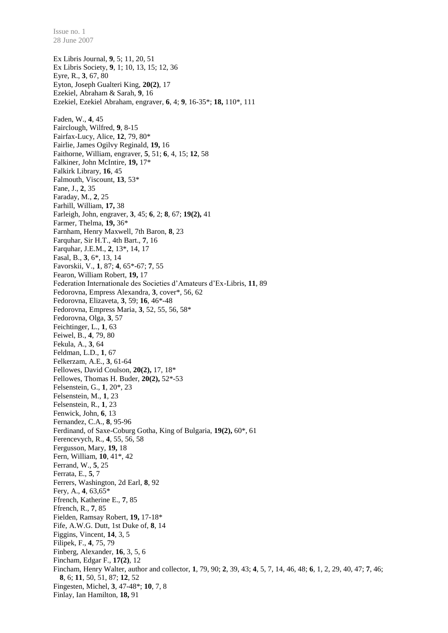Ex Libris Journal, **9**, 5; 11, 20, 51 Ex Libris Society, **9**, 1; 10, 13, 15; 12, 36 Eyre, R., **3**, 67, 80 Eyton, Joseph Gualteri King, **20(2)**, 17 Ezekiel, Abraham & Sarah, **9**, 16 Ezekiel, Ezekiel Abraham, engraver, **6**, 4; **9**, 16-35\*; **18,** 110\*, 111 Faden, W., **4**, 45 Fairclough, Wilfred, **9**, 8-15 Fairfax-Lucy, Alice, **12**, 79, 80\* Fairlie, James Ogilvy Reginald, **19,** 16 Faithorne, William, engraver, **5**, 51; **6**, 4, 15; **12**, 58 Falkiner, John McIntire, **19,** 17\* Falkirk Library, **16**, 45 Falmouth, Viscount, **13**, 53\* Fane, J., **2**, 35 Faraday, M., **2**, 25 Farhill, William, **17,** 38 Farleigh, John, engraver, **3**, 45; **6**, 2; **8**, 67; **19(2),** 41 Farmer, Thelma, **19,** 36\* Farnham, Henry Maxwell, 7th Baron, **8**, 23 Farquhar, Sir H.T., 4th Bart., **7**, 16 Farquhar, J.E.M., **2**, 13\*, 14, 17 Fasal, B., **3**, 6\*, 13, 14 Favorskii, V., **1**, 87; **4**, 65\*-67; **7**, 55 Fearon, William Robert, **19,** 17 Federation Internationale des Societies d'Amateurs d'Ex-Libris, **11**, 89 Fedorovna, Empress Alexandra, **3**, cover\*, 56, 62 Fedorovna, Elizaveta, **3**, 59; **16**, 46\*-48 Fedorovna, Empress Maria, **3**, 52, 55, 56, 58\* Fedorovna, Olga, **3**, 57 Feichtinger, L., **1**, 63 Feiwel, B., **4**, 79, 80 Fekula, A., **3**, 64 Feldman, L.D., **1**, 67 Felkerzam, A.E., **3**, 61-64 Fellowes, David Coulson, **20(2),** 17, 18\* Fellowes, Thomas H. Buder, **20(2),** 52\*-53 Felsenstein, G., **1**, 20\*, 23 Felsenstein, M., **1**, 23 Felsenstein, R., **1**, 23 Fenwick, John, **6**, 13 Fernandez, C.A., **8**, 95-96 Ferdinand, of Saxe-Coburg Gotha, King of Bulgaria, **19(2),** 60\*, 61 Ferencevych, R., **4**, 55, 56, 58 Fergusson, Mary, **19,** 18 Fern, William, **10**, 41\*, 42 Ferrand, W., **5**, 25 Ferrata, E., **5**, 7 Ferrers, Washington, 2d Earl, **8**, 92 Fery, A., **4**, 63,65\* Ffrench, Katherine E., **7**, 85 Ffrench, R., **7**, 85 Fielden, Ramsay Robert, **19,** 17-18\* Fife, A.W.G. Dutt, 1st Duke of, **8**, 14 Figgins, Vincent, **14**, 3, 5 Filipek, F., **4**, 75, 79 Finberg, Alexander, **16**, 3, 5, 6 Fincham, Edgar F., **17(2)**, 12 Fincham, Henry Walter, author and collector, **1**, 79, 90; **2**, 39, 43; **4**, 5, 7, 14, 46, 48; **6**, 1, 2, 29, 40, 47; **7**, 46; **8**, 6; **11**, 50, 51, 87; **12**, 52 Fingesten, Michel, **3**, 47-48\*; **10**, 7, 8 Finlay, Ian Hamilton, **18,** 91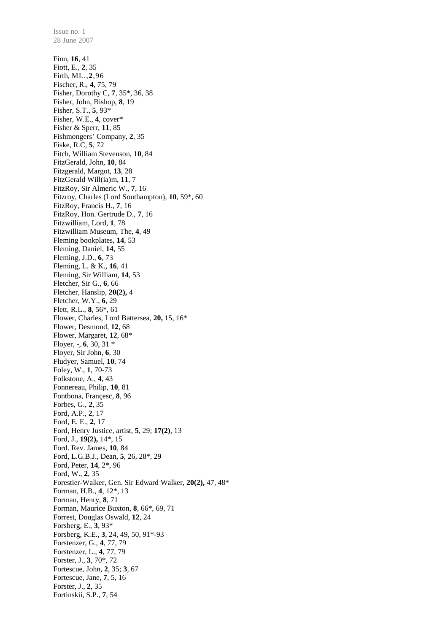28 June 2007 Finn, **16**, 41 Fiott, E., **2**, 35 Firth, ML.,**2**,96 Fischer, R., **4**, 75, 79 Fisher, Dorothy C, **7**, 35\*, 36, 38 Fisher, John, Bishop, **8**, 19 Fisher, S.T., **5**, 93\* Fisher, W.E., **4**, cover\* Fisher & Sperr, **11**, 85 Fishmongers' Company, **2**, 35 Fiske, R.C, **5**, 72 Fitch, William Stevenson, **10**, 84 FitzGerald, John, **10**, 84 Fitzgerald, Margot, **13**, 28 FitzGerald Will(ia)m, **11**, 7 FitzRoy, Sir Almeric W., **7**, 16 Fitzroy, Charles (Lord Southampton), **10**, 59\*, 60 FitzRoy, Francis H., **7**, 16 FitzRoy, Hon. Gertrude D., **7**, 16 Fitzwilliam, Lord, **1**, 78 Fitzwilliam Museum, The, **4**, 49 Fleming bookplates, **14**, 53 Fleming, Daniel, **14**, 55 Fleming, J.D., **6**, 73 Fleming, L. & K., **16**, 41 Fleming, Sir William, **14**, 53 Fletcher, Sir G., **6**, 66 Fletcher, Hanslip, **20(2),** 4 Fletcher, W.Y., **6**, 29 Flett, R.L., **8**, 56\*, 61 Flower, Charles, Lord Battersea, **20,** 15, 16\* Flower, Desmond, **12**, 68 Flower, Margaret, **12**, 68\* Floyer, -, **6**, 30, 31 \* Floyer, Sir John, **6**, 30 Fludyer, Samuel, **10**, 74 Foley, W., **1**, 70-73 Folkstone, A., **4**, 43 Fonnereau, Philip, **10**, 81 Fontbona, Françesc, **8**, 96 Forbes, G., **2**, 35 Ford, A.P., **2**, 17 Ford, E. E., **2**, 17 Ford, Henry Justice, artist, **5**, 29; **17(2)**, 13 Ford, J., **19(2),** 14\*, 15 Ford. Rev. James, **10**, 84 Ford, L.G.B.J., Dean, **5**, 26, 28\*, 29 Ford, Peter, **14**, 2\*, 96 Ford, W., **2**, 35 Forestier-Walker, Gen. Sir Edward Walker, **20(2),** 47, 48\* Forman, H.B., **4**, 12\*, 13 Forman, Henry, **8**, 71 Forman, Maurice Buxton, **8**, 66\*, 69, 71 Forrest, Douglas Oswald, **12**, 24 Forsberg, E., **3**, 93\* Forsberg, K.E., **3**, 24, 49, 50, 91\*-93 Forstenzer, G., **4**, 77, 79 Forstenzer, L., **4**, 77, 79 Forster, J., **3**, 70\*, 72 Fortescue, John, **2**, 35; **3**, 67 Fortescue, Jane, **7**, 5, 16 Forster, J., **2**, 35

Fortinskii, S.P., **7**, 54

Issue no. 1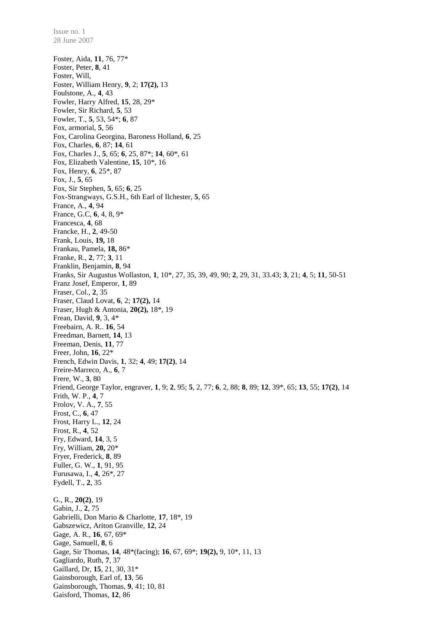Foster, Aida, **11**, 76, 77\* Foster, Peter, **8**, 41 Foster, Will, Foster, William Henry, **9**, 2; **17(2),** 13 Foulstone, A., **4**, 43 Fowler, Harry Alfred, **15**, 28, 29\* Fowler, Sir Richard, **5**, 53 Fowler, T., **5**, 53, 54\*; **6**, 87 Fox, armorial, **5**, 56 Fox, Carolina Georgina, Baroness Holland, **6**, 25 Fox, Charles, **6**, 87; **14**, 61 Fox, Charles J., **5**, 65; **6**, 25, 87\*; **14**, 60\*, 61 Fox, Elizabeth Valentine, **15**, 10\*, 16 Fox, Henry, **6**, 25\*, 87 Fox, J., **5**, 65 Fox, Sir Stephen, **5**, 65; **6**, 25 Fox-Strangways, G.S.H., 6th Earl of Ilchester, **5**, 65 France, A., **4**, 94 France, G.C, **6**, 4, 8, 9\* Francesca, **4**, 68 Francke, H., **2**, 49-50 Frank, Louis, **19,** 18 Frankau, Pamela, **18,** 86\* Franke, R., **2**, 77; **3**, 11 Franklin, Benjamin, **8**, 94 Franks, Sir Augustus Wollaston, **1**, 10\*, 27, 35, 39, 49, 90; **2**, 29, 31, 33.43; **3**, 21; **4**, 5; **11**, 50-51 Franz Josef, Emperor, **1**, 89 Fraser, Col., **2**, 35 Fraser, Claud Lovat, **6**, 2; **17(2),** 14 Fraser, Hugh & Antonia, **20(2),** 18\*, 19 Frean, David, **9**, 3, 4\* Freebairn, A. R.. **16**, 54 Freedman, Barnett, **14**, 13 Freeman, Denis, **11**, 77 Freer, John, **16**, 22\* French, Edwin Davis, **1**, 32; **4**, 49; **17(2)**, 14 Freire-Marreco, A., **6**, 7 Frere, W., **3**, 80 Friend, George Taylor, engraver, **1**, 9; **2**, 95; **5**, 2, 77; **6**, 2, 88; **8**, 89; **12**, 39\*, 65; **13**, 55; **17(2)**, 14 Frith, W. P., **4**, 7 Frolov, V. A., **7**, 55 Frost, C., **6**, 47 Frost, Harry L., **12**, 24 Frost, R., **4**, 52 Fry, Edward, **14**, 3, 5 Fry, William, **20,** 20\* Fryer, Frederick, **8**, 89 Fuller, G. W., **1**, 91, 95 Furusawa, I., **4**, 26\*, 27 Fydell, T., **2**, 35 G., R., **20(2)**, 19 Gabin, J., **2**, 75 Gabrielli, Don Mario & Charlotte, **17**, 18\*, 19 Gabszewicz, Ariton Granville, **12**, 24 Gage, A. R., **16**, 67, 69\* Gage, Samuell, **8**, 6 Gage, Sir Thomas, **14**, 48\*(facing); **16**, 67, 69\*; **19(2),** 9, 10\*, 11, 13 Gagliardo, Ruth, **7**, 37 Gaillard, Dr, **15**, 21, 30, 31\* Gainsborough, Earl of, **13**, 56 Gainsborough, Thomas, **9**, 41; 10, 81 Gaisford, Thomas, **12**, 86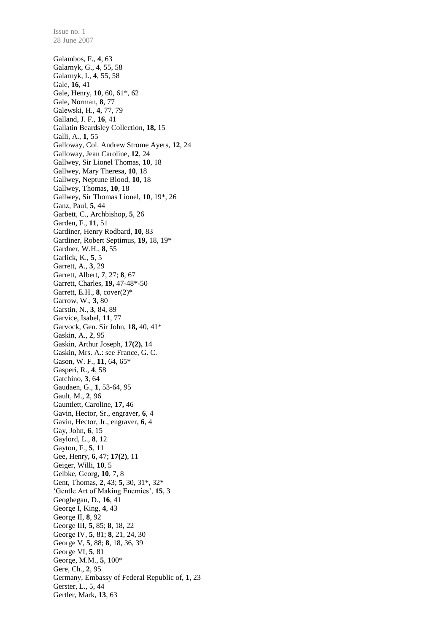Galambos, F., **4**, 63 Galarnyk, G., **4**, 55, 58 Galarnyk, I., **4**, 55, 58 Gale, **16**, 41 Gale, Henry, **10**, 60, 61\*, 62 Gale, Norman, **8**, 77 Galewski, H., **4**, 77, 79 Galland, J. F., **16**, 41 Gallatin Beardsley Collection, **18,** 15 Galli, A., **1**, 55 Galloway, Col. Andrew Strome Ayers, **12**, 24 Galloway, Jean Caroline, **12**, 24 Gallwey, Sir Lionel Thomas, **10**, 18 Gallwey, Mary Theresa, **10**, 18 Gallwey, Neptune Blood, **10**, 18 Gallwey, Thomas, **10**, 18 Gallwey, Sir Thomas Lionel, **10**, 19\*, 26 Ganz, Paul, **5**, 44 Garbett, C., Archbishop, **5**, 26 Garden, F., **11**, 51 Gardiner, Henry Rodbard, **10**, 83 Gardiner, Robert Septimus, **19,** 18, 19\* Gardner, W.H., **8**, 55 Garlick, K., **5**, 5 Garrett, A., **3**, 29 Garrett, Albert, **7**, 27; **8**, 67 Garrett, Charles, **19,** 47-48\*-50 Garrett, E.H., **8**, cover(2)\* Garrow, W., **3**, 80 Garstin, N., **3**, 84, 89 Garvice, Isabel, **11**, 77 Garvock, Gen. Sir John, **18,** 40, 41\* Gaskin, A., **2**, 95 Gaskin, Arthur Joseph, **17(2),** 14 Gaskin, Mrs. A.: see France, G. C. Gason, W. F., **11**, 64, 65\* Gasperi, R., **4**, 58 Gatchino, **3**, 64 Gaudaen, G., **1**, 53-64, 95 Gault, M., **2**, 96 Gauntlett, Caroline, **17,** 46 Gavin, Hector, Sr., engraver, **6**, 4 Gavin, Hector, Jr., engraver, **6**, 4 Gay, John, **6**, 15 Gaylord, L., **8**, 12 Gayton, F., **5**, 11 Gee, Henry, **6**, 47; **17(2)**, 11 Geiger, Willi, **10**, 5 Gelbke, Georg, **10**, 7, 8 Gent, Thomas, **2**, 43; **5**, 30, 31\*, 32\* 'Gentle Art of Making Enemies', **15**, 3 Geoghegan, D., **16**, 41 George I, King, **4**, 43 George II, **8**, 92 George III, **5**, 85; **8**, 18, 22 George IV, **5**, 81; **8**, 21, 24, 30 George V, **5**, 88; **8**, 18, 36, 39 George VI, **5**, 81 George, M.M., **5**, 100\* Gere, Ch., **2**, 95 Germany, Embassy of Federal Republic of, **1**, 23 Gerster, L., 5, 44 Gertler, Mark, **13**, 63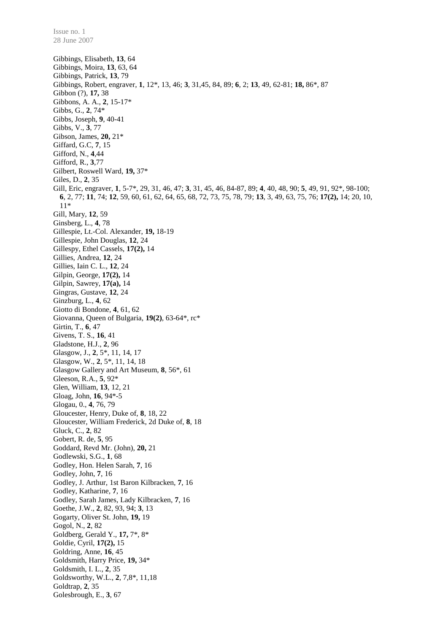Issue no. 1 28 June 2007

Gibbings, Elisabeth, **13**, 64 Gibbings, Moira, **13**, 63, 64 Gibbings, Patrick, **13**, 79 Gibbings, Robert, engraver, **1**, 12\*, 13, 46; **3**, 31,45, 84, 89; **6**, 2; **13**, 49, 62-81; **18,** 86\*, 87 Gibbon (?), **17,** 38 Gibbons, A. A., **2**, 15-17\* Gibbs, G., **2**, 74\* Gibbs, Joseph, **9**, 40-41 Gibbs, V., **3**, 77 Gibson, James, **20,** 21\* Giffard, G.C, **7**, 15 Gifford, N., **4**,44 Gifford, R., **3**,77 Gilbert, Roswell Ward, **19,** 37\* Giles, D., **2**, 35 Gill, Eric, engraver, **1**, 5-7\*, 29, 31, 46, 47; **3**, 31, 45, 46, 84-87, 89; **4**, 40, 48, 90; **5**, 49, 91, 92\*, 98-100; **6**, 2, 77; **11**, 74; **12**, 59, 60, 61, 62, 64, 65, 68, 72, 73, 75, 78, 79; **13**, 3, 49, 63, 75, 76; **17(2),** 14; 20, 10, 11\* Gill, Mary, **12**, 59 Ginsberg, L., **4**, 78 Gillespie, Lt.-Col. Alexander, **19,** 18-19 Gillespie, John Douglas, **12**, 24 Gillespy, Ethel Cassels, **17(2),** 14 Gillies, Andrea, **12**, 24 Gillies, Iain C. L., **12**, 24 Gilpin, George, **17(2),** 14 Gilpin, Sawrey, **17(a),** 14 Gingras, Gustave, **12**, 24 Ginzburg, L., **4**, 62 Giotto di Bondone, **4**, 61, 62 Giovanna, Queen of Bulgaria, **19(2)**, 63-64\*, rc\* Girtin, T., **6**, 47 Givens, T. S., **16**, 41 Gladstone, H.J., **2**, 96 Glasgow, J., **2**, 5\*, 11, 14, 17 Glasgow, W., **2**, 5\*, 11, 14, 18 Glasgow Gallery and Art Museum, **8**, 56\*, 61 Gleeson, R.A., **5**, 92\* Glen, William, **13**, 12, 21 Gloag, John, **16**, 94\*-5 Glogau, 0., **4**, 76, 79 Gloucester, Henry, Duke of, **8**, 18, 22 Gloucester, William Frederick, 2d Duke of, **8**, 18 Gluck, C., **2**, 82 Gobert, R. de, **5**, 95 Goddard, Revd Mr. (John), **20,** 21 Godlewski, S.G., **1**, 68 Godley, Hon. Helen Sarah, **7**, 16 Godley, John, **7**, 16 Godley, J. Arthur, 1st Baron Kilbracken, **7**, 16 Godley, Katharine, **7**, 16 Godley, Sarah James, Lady Kilbracken, **7**, 16 Goethe, J.W., **2**, 82, 93, 94; **3**, 13 Gogarty, Oliver St. John, **19,** 19 Gogol, N., **2**, 82 Goldberg, Gerald Y., **17,** 7\*, 8\* Goldie, Cyril, **17(2),** 15 Goldring, Anne, **16**, 45 Goldsmith, Harry Price, **19,** 34\* Goldsmith, I. L., **2**, 35 Goldsworthy, W.L., **2**, 7,8\*, 11,18 Goldtrap, **2**, 35 Golesbrough, E., **3**, 67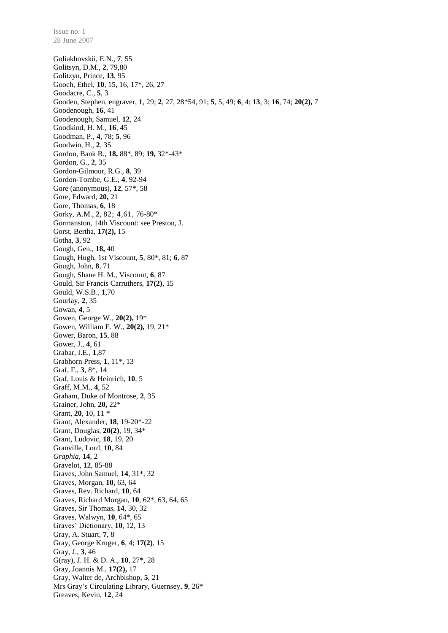Goliakhovskii, E.N., **7**, 55 Golitsyn, D.M., **2**, 79,80 Golitzyn, Prince, **13**, 95 Gooch, Ethel, **10**, 15, 16, 17\*, 26, 27 Goodacre, C., **5**, 3 Gooden, Stephen, engraver, **1**, 29; **2**, 27, 28\*54, 91; **5**, 5, 49; **6**, 4; **13**, 3; **16**, 74; **20(2),** 7 Goodenough, **16**, 41 Goodenough, Samuel, **12**, 24 Goodkind, H. M., **16**, 45 Goodman, P., **4**, 78; **5**, 96 Goodwin, H., **2**, 35 Gordon, Bank B., **18,** 88\*, 89; **19,** 32\*-43\* Gordon, G., **2**, 35 Gordon-Gilmour, R.G., **8**, 39 Gordon-Tombe, G.E., **4**, 92-94 Gore (anonymous), **12**, 57\*, 58 Gore, Edward, **20,** 21 Gore, Thomas, **6**, 18 Gorky, A.M., **2**, 82; **4**,61, 76-80\* Gormanston, 14th Viscount: see Preston, J. Gorst, Bertha, **17(2),** 15 Gotha, **3**, 92 Gough, Gen., **18,** 40 Gough, Hugh, 1st Viscount, **5**, 80\*, 81; **6**, 87 Gough, John, **8**, 71 Gough, Shane H. M., Viscount, **6**, 87 Gould, Sir Francis Carruthers, **17(2)**, 15 Gould, W.S.B., **1**,70 Gourlay, **2**, 35 Gowan, **4**, 5 Gowen, George W., **20(2),** 19\* Gowen, William E. W., **20(2),** 19, 21\* Gower, Baron, **15**, 88 Gower, J., **4**, 61 Grabar, I.E., **1**,87 Grabhorn Press, **1**, 11\*, 13 Graf, F., **3**, 8\*, 14 Graf, Louis & Heinrich, **10**, 5 Graff, M.M., **4**, 52 Graham, Duke of Montrose, **2**, 35 Grainer, John, **20,** 22\* Grant, **20**, 10, 11 \* Grant, Alexander, **18**, 19-20\*-22 Grant, Douglas, **20(2)**, 19, 34\* Grant, Ludovic, **18**, 19, 20 Granville, Lord, **10**, 84 *Graphia*, **14**, 2 Gravelot, **12**, 85-88 Graves, John Samuel, **14**, 31\*, 32 Graves, Morgan, **10**, 63, 64 Graves, Rev. Richard, **10**, 64 Graves, Richard Morgan, **10**, 62\*, 63, 64, 65 Graves, Sir Thomas, **14**, 30, 32 Graves, Walwyn, **10**, 64\*, 65 Graves' Dictionary, **10**, 12, 13 Gray, A. Stuart, **7**, 8 Gray, George Kruger, **6**, 4; **17(2)**, 15 Gray, J., **3**, 46 G(ray), J. H. & D. A., **10**, 27\*, 28 Gray, Joannis M., **17(2),** 17 Gray, Walter de, Archbishop, **5**, 21 Mrs Gray's Circulating Library, Guernsey, **9**, 26\* Greaves, Kevin, **12**, 24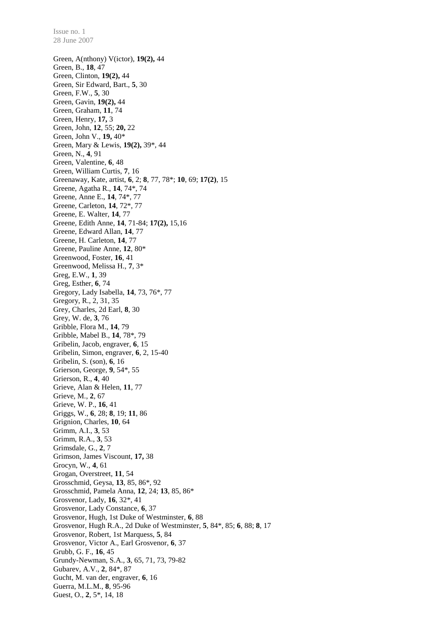Green, A(nthony) V(ictor), **19(2),** 44 Green, B., **18**, 47 Green, Clinton, **19(2),** 44 Green, Sir Edward, Bart., **5**, 30 Green, F.W., **5**, 30 Green, Gavin, **19(2),** 44 Green, Graham, **11**, 74 Green, Henry, **17,** 3 Green, John, **12**, 55; **20,** 22 Green, John V., **19,** 40\* Green, Mary & Lewis, **19(2),** 39\*, 44 Green, N., **4**, 91 Green, Valentine, **6**, 48 Green, William Curtis, **7**, 16 Greenaway, Kate, artist, **6**, 2; **8**, 77, 78\*; **10**, 69; **17(2)**, 15 Greene, Agatha R., **14**, 74\*, 74 Greene, Anne E., **14**, 74\*, 77 Greene, Carleton, **14**, 72\*, 77 Greene, E. Walter, **14**, 77 Greene, Edith Anne, **14**, 71-84; **17(2),** 15,16 Greene, Edward Allan, **14**, 77 Greene, H. Carleton, **14**, 77 Greene, Pauline Anne, **12**, 80\* Greenwood, Foster, **16**, 41 Greenwood, Melissa H., **7**, 3\* Greg, E.W., **1**, 39 Greg, Esther, **6**, 74 Gregory, Lady Isabella, **14**, 73, 76\*, 77 Gregory, R., 2, 31, 35 Grey, Charles, 2d Earl, **8**, 30 Grey, W. de, **3**, 76 Gribble, Flora M., **14**, 79 Gribble, Mabel B., **14**, 78\*, 79 Gribelin, Jacob, engraver, **6**, 15 Gribelin, Simon, engraver, **6**, 2, 15-40 Gribelin, S. (son), **6**, 16 Grierson, George, **9**, 54\*, 55 Grierson, R., **4**, 40 Grieve, Alan & Helen, **11**, 77 Grieve, M., **2**, 67 Grieve, W. P., **16**, 41 Griggs, W., **6**, 28; **8**, 19; **11**, 86 Grignion, Charles, **10**, 64 Grimm, A.I., **3**, 53 Grimm, R.A., **3**, 53 Grimsdale, G., **2**, 7 Grimson, James Viscount, **17,** 38 Grocyn, W., **4**, 61 Grogan, Overstreet, **11**, 54 Grosschmid, Geysa, **13**, 85, 86\*, 92 Grosschmid, Pamela Anna, **12**, 24; **13**, 85, 86\* Grosvenor, Lady, **16**, 32\*, 41 Grosvenor, Lady Constance, **6**, 37 Grosvenor, Hugh, 1st Duke of Westminster, **6**, 88 Grosvenor, Hugh R.A., 2d Duke of Westminster, **5**, 84\*, 85; **6**, 88; **8**, 17 Grosvenor, Robert, 1st Marquess, **5**, 84 Grosvenor, Victor A., Earl Grosvenor, **6**, 37 Grubb, G. F., **16**, 45 Grundy-Newman, S.A., **3**, 65, 71, 73, 79-82 Gubarev, A.V., **2**, 84\*, 87 Gucht, M. van der, engraver, **6**, 16 Guerra, M.L.M., **8**, 95-96 Guest, O., **2**, 5\*, 14, 18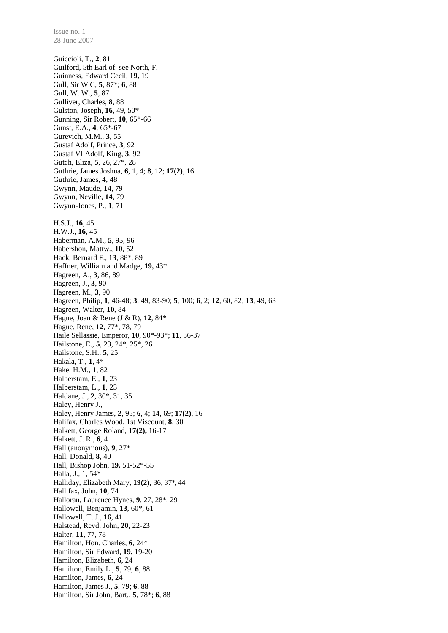28 June 2007 Guiccioli, T., **2**, 81 Guilford, 5th Earl of: see North, F. Guinness, Edward Cecil, **19,** 19 Gull, Sir W.C, **5**, 87\*; **6**, 88 Gull, W. W., **5**, 87 Gulliver, Charles, **8**, 88 Gulston, Joseph, **16**, 49, 50\* Gunning, Sir Robert, **10**, 65\*-66 Gunst, E.A., **4**, 65\*-67 Gurevich, M.M., **3**, 55 Gustaf Adolf, Prince, **3**, 92 Gustaf VI Adolf, King, **3**, 92 Gutch, Eliza, **5**, 26, 27\*, 28 Guthrie, James Joshua, **6**, 1, 4; **8**, 12; **17(2)**, 16 Guthrie, James, **4**, 48 Gwynn, Maude, **14**, 79 Gwynn, Neville, **14**, 79 Gwynn-Jones, P., **1**, 71 H.S.J., **16**, 45 H.W.J., **16**, 45 Haberman, A.M., **5**, 95, 96 Habershon, Mattw., **10**, 52 Hack, Bernard F., **13**, 88\*, 89 Haffner, William and Madge, **19,** 43\* Hagreen, A., **3**, 86, 89 Hagreen, J., **3**, 90 Hagreen, M., **3**, 90 Hagreen, Philip, **1**, 46-48; **3**, 49, 83-90; **5**, 100; **6**, 2; **12**, 60, 82; **13**, 49, 63 Hagreen, Walter, **10**, 84 Hague, Joan & Rene (J & R), **12**, 84\* Hague, Rene, **12**, 77\*, 78, 79 Haile Sellassie, Emperor, **10**, 90\*-93\*; **11**, 36-37 Hailstone, E., **5**, 23, 24\*, 25\*, 26 Hailstone, S.H., **5**, 25 Hakala, T., **1**, 4\* Hake, H.M., **1**, 82 Halberstam, E., **1**, 23 Halberstam, L., **1**, 23 Haldane, J., **2**, 30\*, 31, 35 Haley, Henry J., Haley, Henry James, **2**, 95; **6**, 4; **14**, 69; **17(2)**, 16 Halifax, Charles Wood, 1st Viscount, **8**, 30 Halkett, George Roland, **17(2),** 16-17 Halkett, J. R., **6**, 4 Hall (anonymous), **9**, 27\* Hall, Donald, **8**, 40 Hall, Bishop John, **19,** 51-52\*-55 Halla, J., 1, 54\* Halliday, Elizabeth Mary, **19(2),** 36, 37\*, 44 Hallifax, John, **10**, 74 Halloran, Laurence Hynes, **9**, 27, 28\*, 29 Hallowell, Benjamin, **13**, 60\*, 61 Hallowell, T. J., **16**, 41 Halstead, Revd. John, **20,** 22-23 Halter, **11**, 77, 78 Hamilton, Hon. Charles, **6**, 24\* Hamilton, Sir Edward, **19,** 19-20 Hamilton, Elizabeth, **6**, 24 Hamilton, Emily L., **5**, 79; **6**, 88 Hamilton, James, **6**, 24 Hamilton, James J., **5**, 79; **6**, 88 Hamilton, Sir John, Bart., **5**, 78\*; **6**, 88

Issue no. 1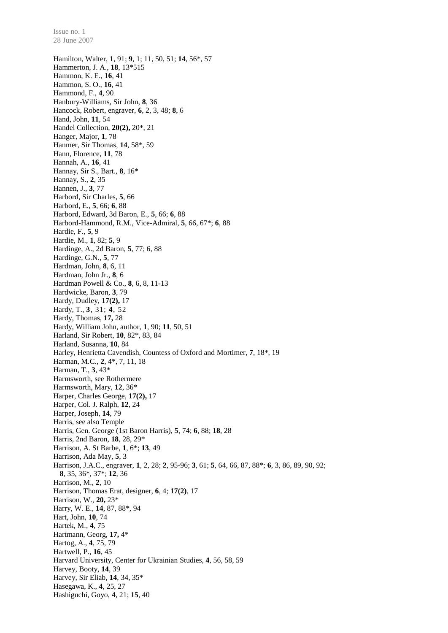Hamilton, Walter, **1**, 91; **9**, 1; 11, 50, 51; **14**, 56\*, 57 Hammerton, J. A., **18**, 13\*515 Hammon, K. E., **16**, 41 Hammon, S. O., **16**, 41 Hammond, F., **4**, 90 Hanbury-Williams, Sir John, **8**, 36 Hancock, Robert, engraver, **6**, 2, 3, 48; **8**, 6 Hand, John, **11**, 54 Handel Collection, **20(2),** 20\*, 21 Hanger, Major, **1**, 78 Hanmer, Sir Thomas, **14**, 58\*, 59 Hann, Florence, **11**, 78 Hannah, A., **16**, 41 Hannay, Sir S., Bart., **8**, 16\* Hannay, S., **2**, 35 Hannen, J., **3**, 77 Harbord, Sir Charles, **5**, 66 Harbord, E., **5**, 66; **6**, 88 Harbord, Edward, 3d Baron, E., **5**, 66; **6**, 88 Harbord-Hammond, R.M., Vice-Admiral, **5**, 66, 67\*; **6**, 88 Hardie, F., **5**, 9 Hardie, M., **1**, 82; **5**, 9 Hardinge, A., 2d Baron, **5**, 77; 6, 88 Hardinge, G.N., **5**, 77 Hardman, John, **8**, 6, 11 Hardman, John Jr., **8**, 6 Hardman Powell & Co., **8**, 6, 8, 11-13 Hardwicke, Baron, **3**, 79 Hardy, Dudley, **17(2),** 17 Hardy, T., **3**, 31; **4**, 52 Hardy, Thomas, **17,** 28 Hardy, William John, author, **1**, 90; **11**, 50, 51 Harland, Sir Robert, **10**, 82\*, 83, 84 Harland, Susanna, **10**, 84 Harley, Henrietta Cavendish, Countess of Oxford and Mortimer, **7**, 18\*, 19 Harman, M.C., **2**, 4\*, 7, 11, 18 Harman, T., **3**, 43\* Harmsworth, see Rothermere Harmsworth, Mary, **12**, 36\* Harper, Charles George, **17(2),** 17 Harper, Col. J. Ralph, **12**, 24 Harper, Joseph, **14**, 79 Harris, see also Temple Harris, Gen. George (1st Baron Harris), **5**, 74; **6**, 88; **18**, 28 Harris, 2nd Baron, **18**, 28, 29\* Harrison, A. St Barbe, **1**, 6\*; **13**, 49 Harrison, Ada May, **5**, 3 Harrison, J.A.C., engraver, **1**, 2, 28; **2**, 95-96; **3**, 61; **5**, 64, 66, 87, 88\*; **6**, 3, 86, 89, 90, 92; **8**, 35, 36\*, 37\*; **12**, 36 Harrison, M., **2**, 10 Harrison, Thomas Erat, designer, **6**, 4; **17(2)**, 17 Harrison, W., **20,** 23\* Harry, W. E., **14**, 87, 88\*, 94 Hart, John, **10**, 74 Hartek, M., **4**, 75 Hartmann, Georg, **17,** 4\* Hartog, A., **4**, 75, 79 Hartwell, P., **16**, 45 Harvard University, Center for Ukrainian Studies, **4**, 56, 58, 59 Harvey, Booty, **14**, 39 Harvey, Sir Eliab, **14**, 34, 35\* Hasegawa, K., **4**, 25, 27 Hashiguchi, Goyo, **4**, 21; **15**, 40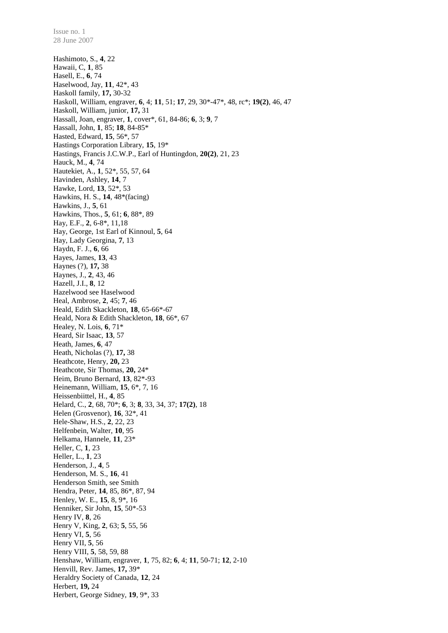Hashimoto, S., **4**, 22 Hawaii, C, **1**, 85 Hasell, E., **6**, 74 Haselwood, Jay, **11**, 42\*, 43 Haskoll family, **17,** 30-32 Haskoll, William, engraver, **6**, 4; **11**, 51; **17**, 29, 30\*-47\*, 48, rc\*; **19(2)**, 46, 47 Haskoll, William, junior, **17,** 31 Hassall, Joan, engraver, **1**, cover\*, 61, 84-86; **6**, 3; **9**, 7 Hassall, John, **1**, 85; **18**, 84-85\* Hasted, Edward, **15**, 56\*, 57 Hastings Corporation Library, **15**, 19\* Hastings, Francis J.C.W.P., Earl of Huntingdon, **20(2)**, 21, 23 Hauck, M., **4**, 74 Hautekiet, A., **1**, 52\*, 55, 57, 64 Havinden, Ashley, **14**, 7 Hawke, Lord, **13**, 52\*, 53 Hawkins, H. S., **14**, 48\*(facing) Hawkins, J., **5**, 61 Hawkins, Thos., **5**, 61; **6**, 88\*, 89 Hay, E.F., **2**, 6-8\*, 11,18 Hay, George, 1st Earl of Kinnoul, **5**, 64 Hay, Lady Georgina, **7**, 13 Haydn, F. J., **6**, 66 Hayes, James, **13**, 43 Haynes (?), **17,** 38 Haynes, J., **2**, 43, 46 Hazell, J.I., **8**, 12 Hazelwood see Haselwood Heal, Ambrose, **2**, 45; **7**, 46 Heald, Edith Skackleton, **18**, 65-66\*-67 Heald, Nora & Edith Shackleton, **18**, 66\*, 67 Healey, N. Lois, **6**, 71\* Heard, Sir Isaac, **13**, 57 Heath, James, **6**, 47 Heath, Nicholas (?), **17,** 38 Heathcote, Henry, **20,** 23 Heathcote, Sir Thomas, **20,** 24\* Heim, Bruno Bernard, **13**, 82\*-93 Heinemann, William, **15**, 6\*, 7, 16 Heissenbiittel, H., **4**, 85 Helard, C., **2**, 68, 70\*; **6**, 3; **8**, 33, 34, 37; **17(2)**, 18 Helen (Grosvenor), **16**, 32\*, 41 Hele-Shaw, H.S., **2**, 22, 23 Helfenbein, Walter, **10**, 95 Helkama, Hannele, **11**, 23\* Heller, C, **1**, 23 Heller, L., **1**, 23 Henderson, J., **4**, 5 Henderson, M. S., **16**, 41 Henderson Smith, see Smith Hendra, Peter, **14**, 85, 86\*, 87, 94 Henley, W. E., **15**, 8, 9\*, 16 Henniker, Sir John, **15**, 50\*-53 Henry IV, **8**, 26 Henry V, King, **2**, 63; **5**, 55, 56 Henry VI, **5**, 56 Henry VII, **5**, 56 Henry VIII, **5**, 58, 59, 88 Henshaw, William, engraver, **1**, 75, 82; **6**, 4; **11**, 50-71; **12**, 2-10 Henvill, Rev. James, **17,** 39\* Heraldry Society of Canada, **12**, 24 Herbert, **19,** 24 Herbert, George Sidney, **19**, 9\*, 33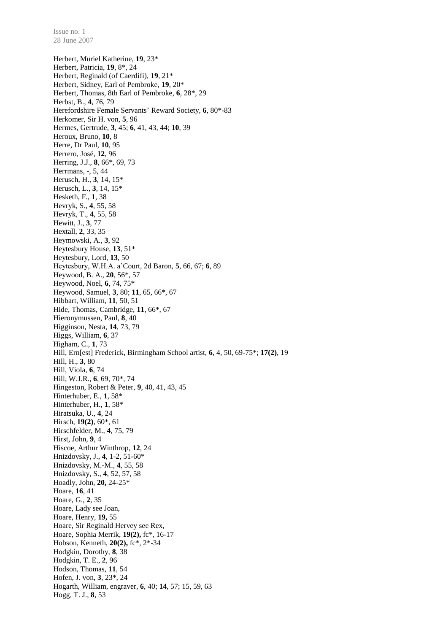Herbert, Muriel Katherine, **19**, 23\* Herbert, Patricia, **19**, 8\*, 24 Herbert, Reginald (of Caerdifi), **19**, 21\* Herbert, Sidney, Earl of Pembroke, **19**, 20\* Herbert, Thomas, 8th Earl of Pembroke, **6**, 28\*, 29 Herbst, B., **4**, 76, 79 Herefordshire Female Servants' Reward Society, **6**, 80\*-83 Herkomer, Sir H. von, **5**, 96 Hermes, Gertrude, **3**, 45; **6**, 41, 43, 44; **10**, 39 Heroux, Bruno, **10**, 8 Herre, Dr Paul, **10**, 95 Herrero, José, **12**, 96 Herring, J.J., **8**, 66\*, 69, 73 Herrmans, -, 5, 44 Herusch, H., **3**, 14, 15\* Herusch, L., **3**, 14, 15\* Hesketh, F., **1***,* 38 Hevryk, S., **4**, 55, 58 Hevryk, T., **4**, 55, 58 Hewitt, J., **3**, 77 Hextall, **2**, 33, 35 Heymowski, A., **3**, 92 Heytesbury House, **13**, 51\* Heytesbury, Lord, **13**, 50 Heytesbury, W.H.A. a'Court, 2d Baron, **5**, 66, 67; **6**, 89 Heywood, B. A., **20**, 56\*, 57 Heywood, Noel, **6**, 74, 75\* Heywood, Samuel, **3**, 80; **11**, 65, 66\*, 67 Hibbart, William, **11**, 50, 51 Hide, Thomas, Cambridge, **11**, 66\*, 67 Hieronymussen, Paul, **8**, 40 Higginson, Nesta, **14**, 73, 79 Higgs, William, **6**, 37 Higham, C., **1**, 73 Hill, Ern[est] Frederick, Birmingham School artist, **6**, 4, 50, 69-75\*; **17(2)**, 19 Hill, H., **3**, 80 Hill, Viola, **6**, 74 Hill, W.J.R., **6**, 69, 70\*, 74 Hingeston, Robert & Peter, **9**, 40, 41, 43, 45 Hinterhuber, E., **1**, 58\* Hinterhuber, H., **1**, 58\* Hiratsuka, U., **4**, 24 Hirsch, **19(2)**, 60\*, 61 Hirschfelder, M., **4**, 75, 79 Hirst, John, **9**, 4 Hiscoe, Arthur Winthrop, **12**, 24 Hnizdovsky, J., **4**, 1-2, 51-60\* Hnizdovsky, M.-M., **4**, 55, 58 Hnizdovsky, S., **4**, 52, 57, 58 Hoadly, John, **20,** 24-25\* Hoare, **16**, 41 Hoare, G., **2**, 35 Hoare, Lady see Joan, Hoare, Henry, **19,** 55 Hoare, Sir Reginald Hervey see Rex, Hoare, Sophia Merrik, **19(2),** fc\*, 16-17 Hobson, Kenneth, **20(2),** fc\*, 2\*-34 Hodgkin, Dorothy, **8**, 38 Hodgkin, T. E., **2**, 96 Hodson, Thomas, **11**, 54 Hofen, J. von, **3**, 23\*, 24 Hogarth, William, engraver, **6**, 40; **14**, 57; 15, 59, 63 Hogg, T. J., **8**, 53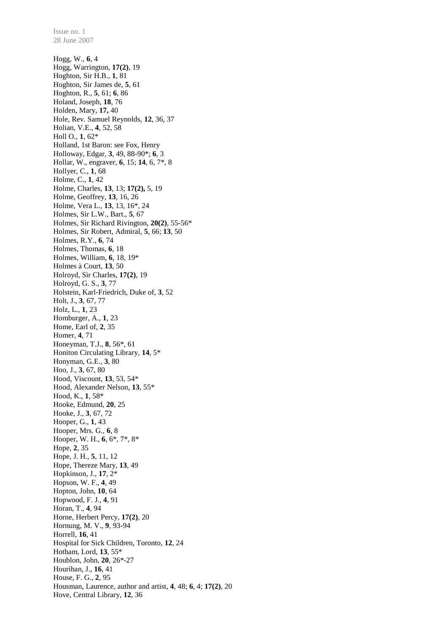28 June 2007 Hogg, W., **6**, 4 Hogg, Warrington, **17(2)**, 19 Hoghton, Sir H.B., **1**, 81 Hoghton, Sir James de, **5**, 61 Hoghton, R., **5**, 61; **6**, 86 Holand, Joseph, **18**, 76 Holden, Mary, **17,** 40 Hole, Rev. Samuel Reynolds, **12**, 36, 37 Holian, V.E., **4**, 52, 58 Holl O., **1**, 62\* Holland, 1st Baron: see Fox, Henry Holloway, Edgar, **3**, 49, 88-90\*; **6**, 3 Hollar, W., engraver, **6**, 15; **14**, 6, 7\*, 8 Hollyer, C., **1**, 68 Holme, C., **1**, 42 Holme, Charles, **13**, 13; **17(2),** 5, 19 Holme, Geoffrey, **13**, 16, 26 Holme, Vera L., **13**, 13, 16\*, 24 Holmes, Sir L.W., Bart., **5**, 67 Holmes, Sir Richard Rivington, **20(2)**, 55-56\* Holmes, Sir Robert, Admiral, **5**, 66; **13**, 50 Holmes, R.Y., **6**, 74 Holmes, Thomas, **6**, 18 Holmes, William, **6**, 18, 19\* Holmes à Court, **13**, 50 Holroyd, Sir Charles, **17(2)**, 19 Holroyd, G. S., **3**, 77 Holstein, Karl-Friedrich, Duke of, **3**, 52 Holt, J., **3**, 67, 77 Holz, L., **1**, 23 Homburger, A., **1**, 23 Home, Earl of, **2**, 35 Homer, **4**, 71 Honeyman, T.J., **8**, 56\*, 61 Honiton Circulating Library, **14**, 5\* Honyman, G.E., **3**, 80 Hoo, J., **3**, 67, 80 Hood, Viscount, **13**, 53, 54\* Hood, Alexander Nelson, **13**, 55\* Hood, K., **1**, 58\* Hooke, Edmund, **20**, 25 Hooke, J., **3**, 67, 72 Hooper, G., **1**, 43 Hooper, Mrs. G., **6**, 8 Hooper, W. H., **6**, 6\*, 7\*, 8\* Hope, **2**, 35 Hope, J. H., **5**, 11, 12 Hope, Thereze Mary, **13**, 49 Hopkinson, J., **17**, 2\* Hopson, W. F., **4**, 49 Hopton, John, **10**, 64 Hopwood, F. J., **4**, 91 Horan, T., **4**, 94 Horne, Herbert Percy, **17(2)**, 20 Hornung, M. V., **9**, 93-94 Horrell, **16**, 41 Hospital for Sick Children, Toronto, **12**, 24 Hotham, Lord, **13**, 55\* Houblon, John, **20**, 26\*-27 Hourihan, J., **16**, 41 House, F. G., **2**, 95 Housman, Laurence, author and artist, **4**, 48; **6**, 4; **17(2)**, 20 Hove, Central Library, **12**, 36

Issue no. 1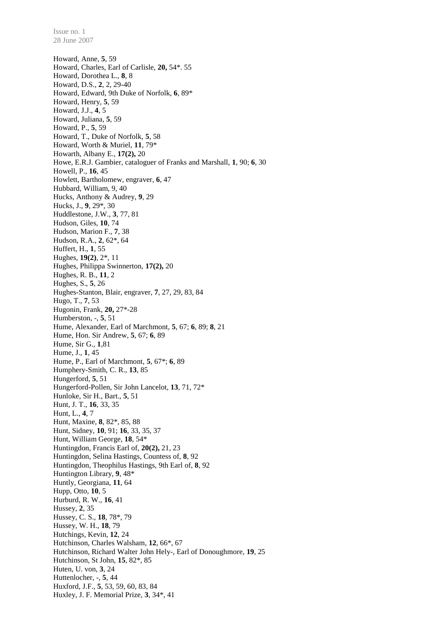Howard, Anne, **5**, 59 Howard, Charles, Earl of Carlisle, **20,** 54\*. 55 Howard, Dorothea L., **8**, 8 Howard, D.S., **2**, 2, 29-40 Howard, Edward, 9th Duke of Norfolk, **6**, 89\* Howard, Henry, **5**, 59 Howard, J.J., **4**, 5 Howard, Juliana, **5**, 59 Howard, P., **5**, 59 Howard, T., Duke of Norfolk, **5**, 58 Howard, Worth & Muriel, **11**, 79\* Howarth, Albany E., **17(2),** 20 Howe, E.R.J. Gambier, cataloguer of Franks and Marshall, **1**, 90; **6**, 30 Howell, P., **16**, 45 Howlett, Bartholomew, engraver, **6**, 47 Hubbard, William, 9, 40 Hucks, Anthony & Audrey, **9**, 29 Hucks, J., **9**, 29\*, 30 Huddlestone, J.W., **3**, 77, 81 Hudson, Giles, **10**, 74 Hudson, Marion F., **7**, 38 Hudson, R.A., **2**, 62\*, 64 Huffert, H., **1**, 55 Hughes, **19(2)**, 2\*, 11 Hughes, Philippa Swinnerton, **17(2),** 20 Hughes, R. B., **11**, 2 Hughes, S., **5**, 26 Hughes-Stanton, Blair, engraver, **7**, 27, 29, 83, 84 Hugo, T., **7**, 53 Hugonin, Frank, **20,** 27\*-28 Humberston, -, **5**, 51 Hume, Alexander, Earl of Marchmont, **5**, 67; **6**, 89; **8**, 21 Hume, Hon. Sir Andrew, **5**, 67; **6**, 89 Hume, Sir G., **1**,81 Hume, J., **1**, 45 Hume, P., Earl of Marchmont, **5**, 67\*; **6**, 89 Humphery-Smith, C. R., **13**, 85 Hungerford, **5**, 51 Hungerford-Pollen, Sir John Lancelot, **13**, 71, 72\* Hunloke, Sir H., Bart., **5**, 51 Hunt, J. T., **16**, 33, 35 Hunt, L., **4**, 7 Hunt, Maxine, **8**, 82\*, 85, 88 Hunt, Sidney, **10**, 91; **16**, 33, 35, 37 Hunt, William George, **18**, 54\* Huntingdon, Francis Earl of, **20(2),** 21, 23 Huntingdon, Selina Hastings, Countess of, **8**, 92 Huntingdon, Theophilus Hastings, 9th Earl of, **8**, 92 Huntington Library, **9**, 48\* Huntly, Georgiana, **11**, 64 Hupp, Otto, **10**, 5 Hurburd, R. W., **16**, 41 Hussey, **2**, 35 Hussey, C. S., **18**, 78\*, 79 Hussey, W. H., **18**, 79 Hutchings, Kevin, **12**, 24 Hutchinson, Charles Walsham, **12**, 66\*, 67 Hutchinson, Richard Walter John Hely-, Earl of Donoughmore, **19**, 25 Hutchinson, St John, **15**, 82\*, 85 Huten, U. von, **3**, 24 Huttenlocher, -, **5**, 44 Huxford, J.F., **5**, 53, 59, 60, 83, 84 Huxley, J. F. Memorial Prize, **3**, 34\*, 41